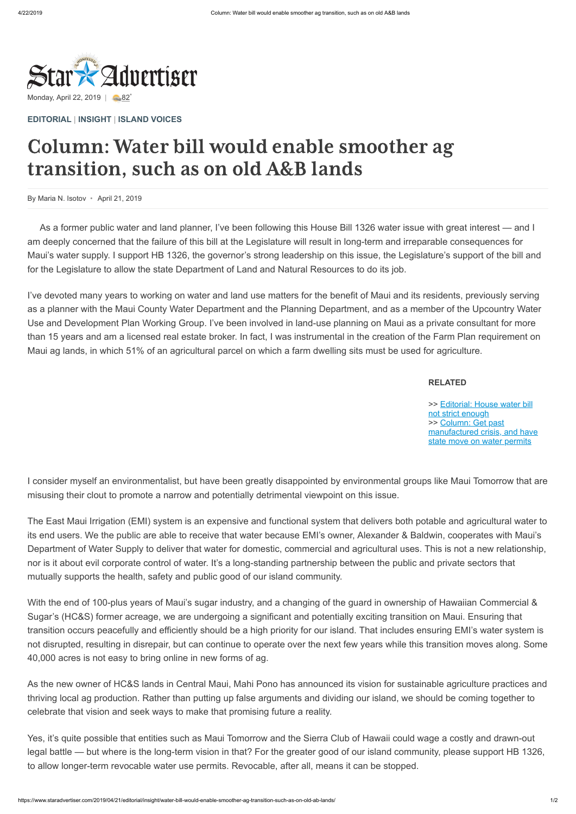## Column: Water bill would enable smoother ag transition, such as on old A&B lands



By Maria N. Isotov • April 21, 2019

## **RELATED**

[>> Editorial: House water bill](https://www.staradvertiser.com/2019/04/21/editorial/our-view/house-water-bill-not-strict-enough/?HSA=fbfaee8b8b82c187d82f1e3579bf5961e6aadde0) not strict enough >> Column: Get past [manufactured crisis, and have](https://www.staradvertiser.com/2019/04/21/editorial/insight/get-past-manufactured-crisis-and-have-state-move-on-water-permits/?HSA=c492326f1e30e78f9787f15a1ac2b87c8f846e14) state move on water permits

**[EDITORIAL](https://www.staradvertiser.com/category/editorial/)** | **[INSIGHT](https://www.staradvertiser.com/category/editorial/insight/)** | **[ISLAND VOICES](https://www.staradvertiser.com/category/editorial/island-voices/)**

As a former public water and land planner, I've been following this House Bill 1326 water issue with great interest — and I am deeply concerned that the failure of this bill at the Legislature will result in long-term and irreparable consequences for Maui's water supply. I support HB 1326, the governor's strong leadership on this issue, the Legislature's support of the bill and for the Legislature to allow the state Department of Land and Natural Resources to do its job.

I've devoted many years to working on water and land use matters for the benefit of Maui and its residents, previously serving as a planner with the Maui County Water Department and the Planning Department, and as a member of the Upcountry Water Use and Development Plan Working Group. I've been involved in land-use planning on Maui as a private consultant for more than 15 years and am a licensed real estate broker. In fact, I was instrumental in the creation of the Farm Plan requirement on Maui ag lands, in which 51% of an agricultural parcel on which a farm dwelling sits must be used for agriculture.

I consider myself an environmentalist, but have been greatly disappointed by environmental groups like Maui Tomorrow that are misusing their clout to promote a narrow and potentially detrimental viewpoint on this issue.

The East Maui Irrigation (EMI) system is an expensive and functional system that delivers both potable and agricultural water to its end users. We the public are able to receive that water because EMI's owner, Alexander & Baldwin, cooperates with Maui's Department of Water Supply to deliver that water for domestic, commercial and agricultural uses. This is not a new relationship, nor is it about evil corporate control of water. It's a long-standing partnership between the public and private sectors that mutually supports the health, safety and public good of our island community.

With the end of 100-plus years of Maui's sugar industry, and a changing of the guard in ownership of Hawaiian Commercial & Sugar's (HC&S) former acreage, we are undergoing a significant and potentially exciting transition on Maui. Ensuring that transition occurs peacefully and efficiently should be a high priority for our island. That includes ensuring EMI's water system is not disrupted, resulting in disrepair, but can continue to operate over the next few years while this transition moves along. Some 40,000 acres is not easy to bring online in new forms of ag.

As the new owner of HC&S lands in Central Maui, Mahi Pono has announced its vision for sustainable agriculture practices and thriving local ag production. Rather than putting up false arguments and dividing our island, we should be coming together to celebrate that vision and seek ways to make that promising future a reality.

Yes, it's quite possible that entities such as Maui Tomorrow and the Sierra Club of Hawaii could wage a costly and drawn-out legal battle — but where is the long-term vision in that? For the greater good of our island community, please support HB 1326, to allow longer-term revocable water use permits. Revocable, after all, means it can be stopped.